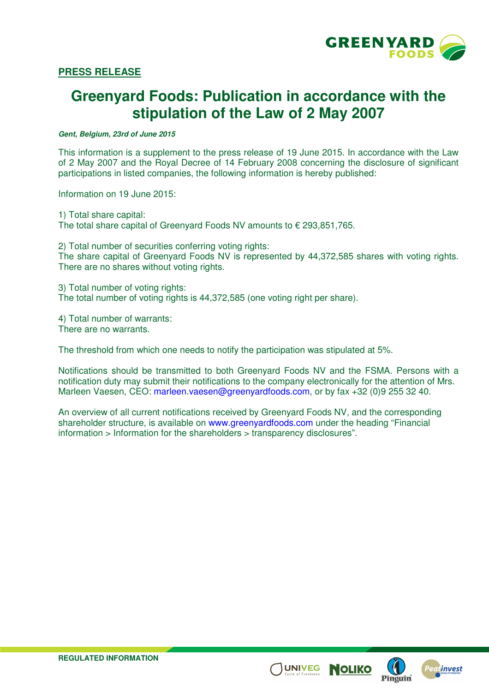

# **PRESS RELEASE**

# **Greenyard Foods: Publication in accordance with the stipulation of the Law of 2 May 2007**

**Gent, Belgium, 23rd of June 2015** 

This information is a supplement to the press release of 19 June 2015. In accordance with the Law of 2 May 2007 and the Royal Decree of 14 February 2008 concerning the disclosure of significant participations in listed companies, the following information is hereby published:

Information on 19 June 2015:

1) Total share capital: The total share capital of Greenyard Foods NV amounts to  $\epsilon$  293,851,765.

2) Total number of securities conferring voting rights:

The share capital of Greenyard Foods NV is represented by 44,372,585 shares with voting rights. There are no shares without voting rights.

3) Total number of voting rights: The total number of voting rights is 44,372,585 (one voting right per share).

4) Total number of warrants: There are no warrants.

The threshold from which one needs to notify the participation was stipulated at 5%.

Notifications should be transmitted to both Greenyard Foods NV and the FSMA. Persons with a notification duty may submit their notifications to the company electronically for the attention of Mrs. Marleen Vaesen, CEO: marleen.vaesen@greenyardfoods.com, or by fax +32 (0)9 255 32 40.

An overview of all current notifications received by Greenyard Foods NV, and the corresponding shareholder structure, is available on www.greenyardfoods.com under the heading "Financial information > Information for the shareholders > transparency disclosures".





**NOLIKO**